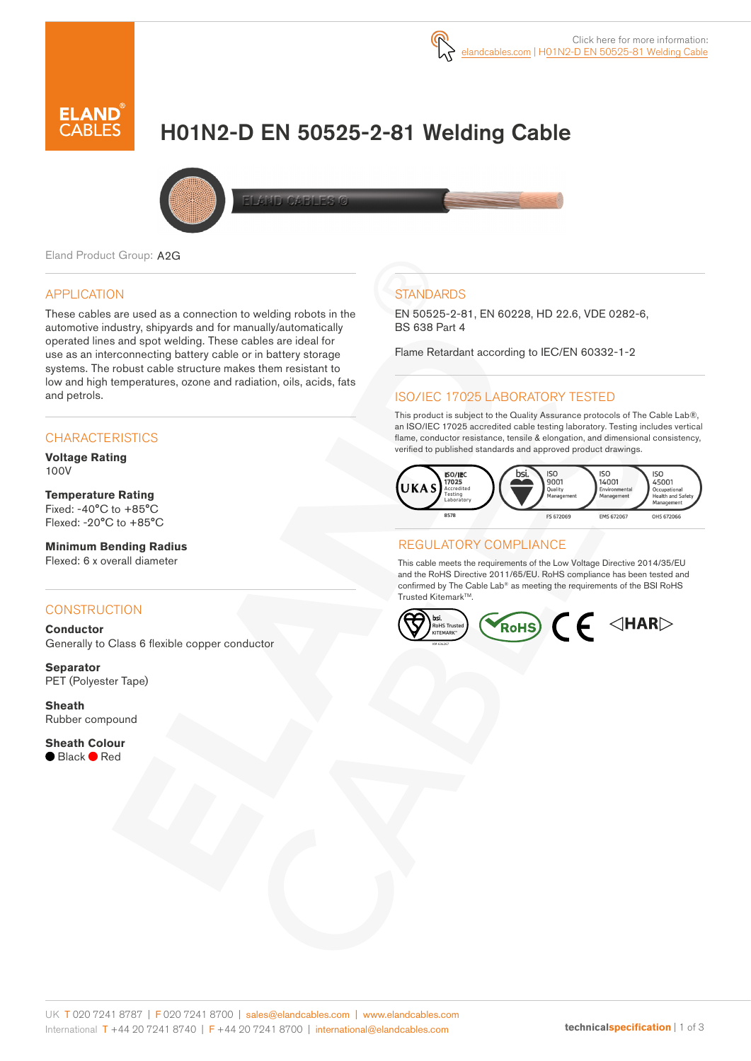

# H01N2-D EN 50525-2-81 Welding Cable



Eland Product Group: A2G

#### APPLICATION

These cables are used as a connection to welding robots in the automotive industry, shipyards and for manually/automatically operated lines and spot welding. These cables are ideal for use as an interconnecting battery cable or in battery storage systems. The robust cable structure makes them resistant to low and high temperatures, ozone and radiation, oils, acids, fats and petrols.

### **CHARACTERISTICS**

**Voltage Rating**  100V

#### **Temperature Rating**

Fixed: -40°C to +85°C Flexed: -20°C to +85°C

#### **Minimum Bending Radius**  Flexed: 6 x overall diameter

#### **CONSTRUCTION**

**Conductor** Generally to Class 6 flexible copper conductor

**Separator** PET (Polyester Tape)

**Sheath** Rubber compound

**Sheath Colour** ● Black ● Red

## **STANDARDS**

EN 50525-2-81, EN 60228, HD 22.6, VDE 0282-6, BS 638 Part 4

Flame Retardant according to IEC/EN 60332-1-2

### ISO/IEC 17025 LABORATORY TESTED

This product is subject to the Quality Assurance protocols of The Cable Lab®, an ISO/IEC 17025 accredited cable testing laboratory. Testing includes vertical flame, conductor resistance, tensile & elongation, and dimensional consistency, verified to published standards and approved product drawings.



### REGULATORY COMPLIANCE

This cable meets the requirements of the Low Voltage Directive 2014/35/EU and the RoHS Directive 2011/65/EU. RoHS compliance has been tested and confirmed by The Cable Lab® as meeting the requirements of the BSI RoHS Trusted KitemarkTM.

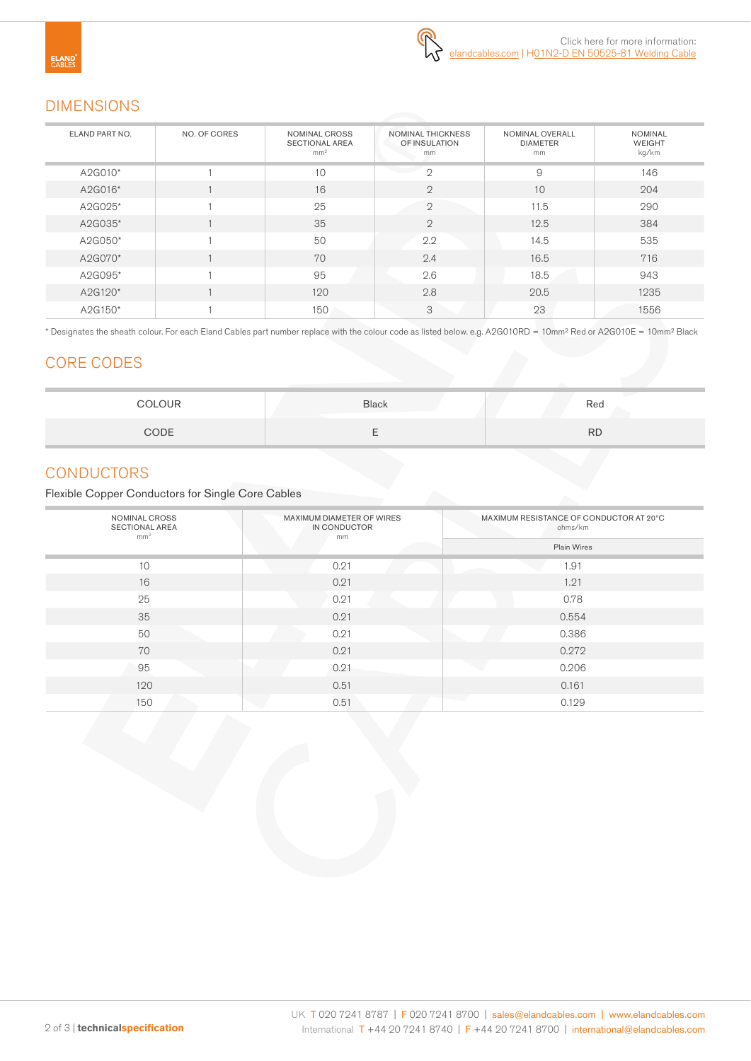### DIMENSIONS

| ELAND PART NO. | NO. OF CORES | NOMINAL CROSS<br><b>SECTIONAL AREA</b><br>mm <sup>2</sup> | NOMINAL THICKNESS<br>OF INSULATION<br>mm | NOMINAL OVERALL<br><b>DIAMETER</b><br>mm | <b>NOMINAL</b><br><b>WEIGHT</b><br>kg/km |  |
|----------------|--------------|-----------------------------------------------------------|------------------------------------------|------------------------------------------|------------------------------------------|--|
| A2G010*        |              | 10                                                        | $\circ$                                  | 9                                        | 146                                      |  |
| A2G016*        |              | 16                                                        | $\overline{2}$                           | 10                                       | 204                                      |  |
| A2G025*        |              | 25                                                        | $\mathbf{2}$                             | 11.5                                     | 290                                      |  |
| A2G035*        |              | 35                                                        | $\overline{2}$                           | 12.5                                     | 384                                      |  |
| A2G050*        |              | 50                                                        | 2.2                                      | 14.5                                     | 535                                      |  |
| A2G070*        |              | 70                                                        | 2.4                                      | 16.5                                     | 716                                      |  |
| A2G095*        |              | 95                                                        | 2.6                                      | 18.5                                     | 943                                      |  |
| A2G120*        |              | 120                                                       | 2.8                                      | 20.5                                     | 1235                                     |  |
| A2G150*        |              | 150                                                       | 3                                        | 23                                       | 1556                                     |  |

\* Designates the sheath colour. For each Eland Cables part number replace with the colour code as listed below. e.g. A2G010RD = 10mm² Red or A2G010E = 10mm² Black

### CORE CODES

| <b>COLOUR</b> | <b>Black</b> | Red       |
|---------------|--------------|-----------|
| CODE          |              | <b>RD</b> |

### **CONDUCTORS**

Flexible Copper Conductors for Single Core Cables

| NOMINAL CROSS<br><b>SECTIONAL AREA</b><br>mm <sup>2</sup> | MAXIMUM DIAMETER OF WIRES<br>IN CONDUCTOR<br>mm | MAXIMUM RESISTANCE OF CONDUCTOR AT 20°C<br>ohms/km |  |  |
|-----------------------------------------------------------|-------------------------------------------------|----------------------------------------------------|--|--|
|                                                           |                                                 | Plain Wires                                        |  |  |
| 10                                                        | 0.21                                            | 1.91                                               |  |  |
| 16                                                        | 0.21                                            | 1.21                                               |  |  |
| 25                                                        | 0.21                                            | 0.78                                               |  |  |
| 35                                                        | 0.21                                            | 0.554                                              |  |  |
| 50                                                        | 0.21                                            | 0.386                                              |  |  |
| 70                                                        | 0.21                                            | 0.272                                              |  |  |
| 95                                                        | 0.21                                            | 0.206                                              |  |  |
| 120                                                       | 0.51                                            | 0.161                                              |  |  |
| 150                                                       | 0.51                                            | 0.129                                              |  |  |